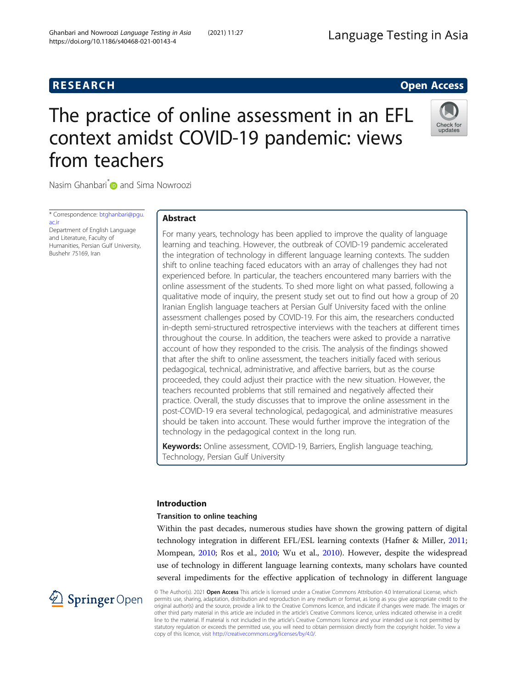# **RESEARCH RESEARCH CONSUMING ACCESS**

# The practice of online assessment in an EFL context amidst COVID-19 pandemic: views from teachers



Nasim Ghanbari<sup>[\\*](http://orcid.org/0000-0002-1652-8438)</sup> and Sima Nowroozi

\* Correspondence: [btghanbari@pgu.](mailto:btghanbari@pgu.ac.ir) [ac.ir](mailto:btghanbari@pgu.ac.ir) Department of English Language

and Literature, Faculty of Humanities, Persian Gulf University, Bushehr 75169, Iran

# Abstract

For many years, technology has been applied to improve the quality of language learning and teaching. However, the outbreak of COVID-19 pandemic accelerated the integration of technology in different language learning contexts. The sudden shift to online teaching faced educators with an array of challenges they had not experienced before. In particular, the teachers encountered many barriers with the online assessment of the students. To shed more light on what passed, following a qualitative mode of inquiry, the present study set out to find out how a group of 20 Iranian English language teachers at Persian Gulf University faced with the online assessment challenges posed by COVID-19. For this aim, the researchers conducted in-depth semi-structured retrospective interviews with the teachers at different times throughout the course. In addition, the teachers were asked to provide a narrative account of how they responded to the crisis. The analysis of the findings showed that after the shift to online assessment, the teachers initially faced with serious pedagogical, technical, administrative, and affective barriers, but as the course proceeded, they could adjust their practice with the new situation. However, the teachers recounted problems that still remained and negatively affected their practice. Overall, the study discusses that to improve the online assessment in the post-COVID-19 era several technological, pedagogical, and administrative measures should be taken into account. These would further improve the integration of the technology in the pedagogical context in the long run.

**Keywords:** Online assessment, COVID-19, Barriers, English language teaching, Technology, Persian Gulf University

# Introduction

## Transition to online teaching

Within the past decades, numerous studies have shown the growing pattern of digital technology integration in different EFL/ESL learning contexts (Hafner & Miller, [2011](#page-16-0); Mompean, [2010](#page-17-0); Ros et al., [2010;](#page-17-0) Wu et al., [2010](#page-17-0)). However, despite the widespread use of technology in different language learning contexts, many scholars have counted several impediments for the effective application of technology in different language



© The Author(s). 2021 Open Access This article is licensed under a Creative Commons Attribution 4.0 International License, which permits use, sharing, adaptation, distribution and reproduction in any medium or format, as long as you give appropriate credit to the original author(s) and the source, provide a link to the Creative Commons licence, and indicate if changes were made. The images or other third party material in this article are included in the article's Creative Commons licence, unless indicated otherwise in a credit line to the material. If material is not included in the article's Creative Commons licence and your intended use is not permitted by statutory regulation or exceeds the permitted use, you will need to obtain permission directly from the copyright holder. To view a copy of this licence, visit <http://creativecommons.org/licenses/by/4.0/>.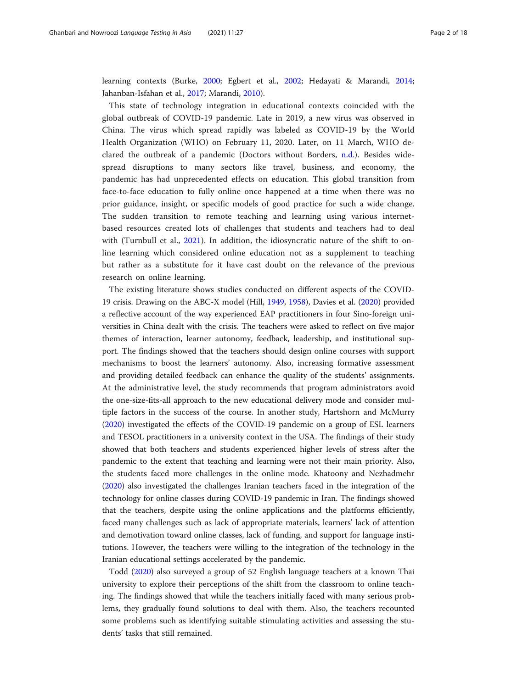learning contexts (Burke, [2000;](#page-16-0) Egbert et al., [2002](#page-16-0); Hedayati & Marandi, [2014](#page-16-0); Jahanban-Isfahan et al., [2017](#page-16-0); Marandi, [2010](#page-17-0)).

This state of technology integration in educational contexts coincided with the global outbreak of COVID-19 pandemic. Late in 2019, a new virus was observed in China. The virus which spread rapidly was labeled as COVID-19 by the World Health Organization (WHO) on February 11, 2020. Later, on 11 March, WHO declared the outbreak of a pandemic (Doctors without Borders, [n.d.\)](#page-16-0). Besides widespread disruptions to many sectors like travel, business, and economy, the pandemic has had unprecedented effects on education. This global transition from face-to-face education to fully online once happened at a time when there was no prior guidance, insight, or specific models of good practice for such a wide change. The sudden transition to remote teaching and learning using various internetbased resources created lots of challenges that students and teachers had to deal with (Turnbull et al., [2021\)](#page-17-0). In addition, the idiosyncratic nature of the shift to online learning which considered online education not as a supplement to teaching but rather as a substitute for it have cast doubt on the relevance of the previous research on online learning.

The existing literature shows studies conducted on different aspects of the COVID-19 crisis. Drawing on the ABC-X model (Hill, [1949,](#page-16-0) [1958](#page-16-0)), Davies et al. ([2020\)](#page-16-0) provided a reflective account of the way experienced EAP practitioners in four Sino-foreign universities in China dealt with the crisis. The teachers were asked to reflect on five major themes of interaction, learner autonomy, feedback, leadership, and institutional support. The findings showed that the teachers should design online courses with support mechanisms to boost the learners' autonomy. Also, increasing formative assessment and providing detailed feedback can enhance the quality of the students' assignments. At the administrative level, the study recommends that program administrators avoid the one-size-fits-all approach to the new educational delivery mode and consider multiple factors in the success of the course. In another study, Hartshorn and McMurry ([2020](#page-16-0)) investigated the effects of the COVID-19 pandemic on a group of ESL learners and TESOL practitioners in a university context in the USA. The findings of their study showed that both teachers and students experienced higher levels of stress after the pandemic to the extent that teaching and learning were not their main priority. Also, the students faced more challenges in the online mode. Khatoony and Nezhadmehr ([2020](#page-16-0)) also investigated the challenges Iranian teachers faced in the integration of the technology for online classes during COVID-19 pandemic in Iran. The findings showed that the teachers, despite using the online applications and the platforms efficiently, faced many challenges such as lack of appropriate materials, learners' lack of attention and demotivation toward online classes, lack of funding, and support for language institutions. However, the teachers were willing to the integration of the technology in the Iranian educational settings accelerated by the pandemic.

Todd [\(2020\)](#page-17-0) also surveyed a group of 52 English language teachers at a known Thai university to explore their perceptions of the shift from the classroom to online teaching. The findings showed that while the teachers initially faced with many serious problems, they gradually found solutions to deal with them. Also, the teachers recounted some problems such as identifying suitable stimulating activities and assessing the students' tasks that still remained.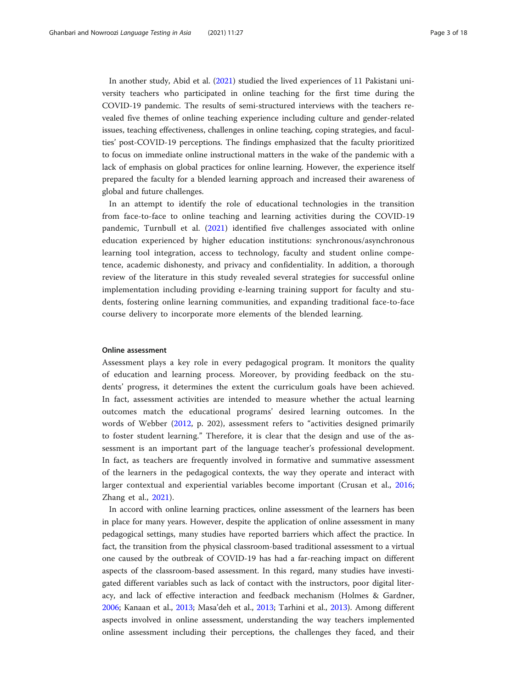In another study, Abid et al. ([2021](#page-16-0)) studied the lived experiences of 11 Pakistani university teachers who participated in online teaching for the first time during the COVID-19 pandemic. The results of semi-structured interviews with the teachers revealed five themes of online teaching experience including culture and gender-related issues, teaching effectiveness, challenges in online teaching, coping strategies, and faculties' post-COVID-19 perceptions. The findings emphasized that the faculty prioritized to focus on immediate online instructional matters in the wake of the pandemic with a lack of emphasis on global practices for online learning. However, the experience itself prepared the faculty for a blended learning approach and increased their awareness of global and future challenges.

In an attempt to identify the role of educational technologies in the transition from face-to-face to online teaching and learning activities during the COVID-19 pandemic, Turnbull et al. [\(2021](#page-17-0)) identified five challenges associated with online education experienced by higher education institutions: synchronous/asynchronous learning tool integration, access to technology, faculty and student online competence, academic dishonesty, and privacy and confidentiality. In addition, a thorough review of the literature in this study revealed several strategies for successful online implementation including providing e-learning training support for faculty and students, fostering online learning communities, and expanding traditional face-to-face course delivery to incorporate more elements of the blended learning.

#### Online assessment

Assessment plays a key role in every pedagogical program. It monitors the quality of education and learning process. Moreover, by providing feedback on the students' progress, it determines the extent the curriculum goals have been achieved. In fact, assessment activities are intended to measure whether the actual learning outcomes match the educational programs' desired learning outcomes. In the words of Webber [\(2012](#page-17-0), p. 202), assessment refers to "activities designed primarily to foster student learning." Therefore, it is clear that the design and use of the assessment is an important part of the language teacher's professional development. In fact, as teachers are frequently involved in formative and summative assessment of the learners in the pedagogical contexts, the way they operate and interact with larger contextual and experiential variables become important (Crusan et al., [2016](#page-16-0); Zhang et al., [2021](#page-17-0)).

In accord with online learning practices, online assessment of the learners has been in place for many years. However, despite the application of online assessment in many pedagogical settings, many studies have reported barriers which affect the practice. In fact, the transition from the physical classroom-based traditional assessment to a virtual one caused by the outbreak of COVID-19 has had a far-reaching impact on different aspects of the classroom-based assessment. In this regard, many studies have investigated different variables such as lack of contact with the instructors, poor digital literacy, and lack of effective interaction and feedback mechanism (Holmes & Gardner, [2006](#page-16-0); Kanaan et al., [2013](#page-16-0); Masa'deh et al., [2013](#page-17-0); Tarhini et al., [2013](#page-17-0)). Among different aspects involved in online assessment, understanding the way teachers implemented online assessment including their perceptions, the challenges they faced, and their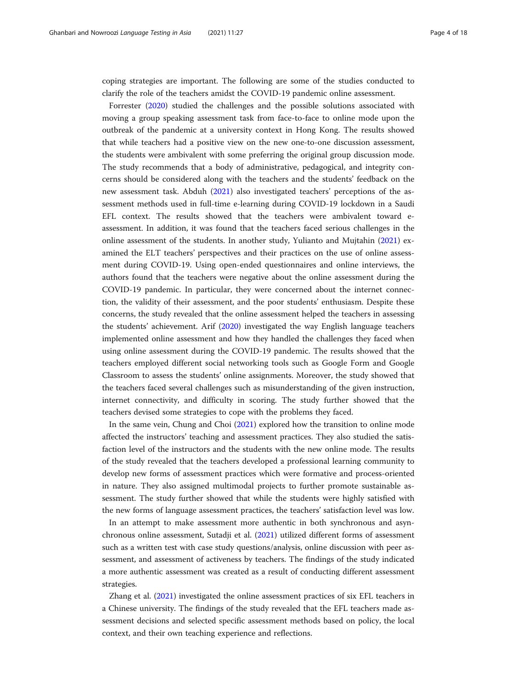coping strategies are important. The following are some of the studies conducted to clarify the role of the teachers amidst the COVID-19 pandemic online assessment.

Forrester ([2020](#page-16-0)) studied the challenges and the possible solutions associated with moving a group speaking assessment task from face-to-face to online mode upon the outbreak of the pandemic at a university context in Hong Kong. The results showed that while teachers had a positive view on the new one-to-one discussion assessment, the students were ambivalent with some preferring the original group discussion mode. The study recommends that a body of administrative, pedagogical, and integrity concerns should be considered along with the teachers and the students' feedback on the new assessment task. Abduh ([2021](#page-16-0)) also investigated teachers' perceptions of the assessment methods used in full-time e-learning during COVID-19 lockdown in a Saudi EFL context. The results showed that the teachers were ambivalent toward eassessment. In addition, it was found that the teachers faced serious challenges in the online assessment of the students. In another study, Yulianto and Mujtahin ([2021](#page-17-0)) examined the ELT teachers' perspectives and their practices on the use of online assessment during COVID-19. Using open-ended questionnaires and online interviews, the authors found that the teachers were negative about the online assessment during the COVID-19 pandemic. In particular, they were concerned about the internet connection, the validity of their assessment, and the poor students' enthusiasm. Despite these concerns, the study revealed that the online assessment helped the teachers in assessing the students' achievement. Arif [\(2020\)](#page-16-0) investigated the way English language teachers implemented online assessment and how they handled the challenges they faced when using online assessment during the COVID-19 pandemic. The results showed that the teachers employed different social networking tools such as Google Form and Google Classroom to assess the students' online assignments. Moreover, the study showed that the teachers faced several challenges such as misunderstanding of the given instruction, internet connectivity, and difficulty in scoring. The study further showed that the teachers devised some strategies to cope with the problems they faced.

In the same vein, Chung and Choi ([2021](#page-16-0)) explored how the transition to online mode affected the instructors' teaching and assessment practices. They also studied the satisfaction level of the instructors and the students with the new online mode. The results of the study revealed that the teachers developed a professional learning community to develop new forms of assessment practices which were formative and process-oriented in nature. They also assigned multimodal projects to further promote sustainable assessment. The study further showed that while the students were highly satisfied with the new forms of language assessment practices, the teachers' satisfaction level was low.

In an attempt to make assessment more authentic in both synchronous and asynchronous online assessment, Sutadji et al. ([2021](#page-17-0)) utilized different forms of assessment such as a written test with case study questions/analysis, online discussion with peer assessment, and assessment of activeness by teachers. The findings of the study indicated a more authentic assessment was created as a result of conducting different assessment strategies.

Zhang et al. [\(2021](#page-17-0)) investigated the online assessment practices of six EFL teachers in a Chinese university. The findings of the study revealed that the EFL teachers made assessment decisions and selected specific assessment methods based on policy, the local context, and their own teaching experience and reflections.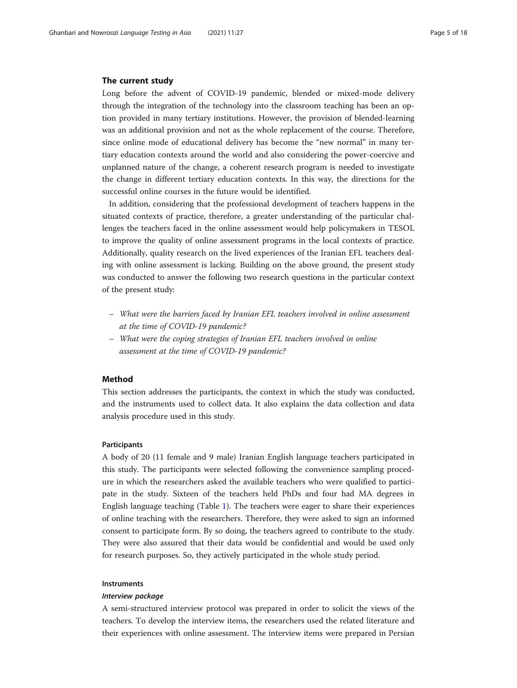#### The current study

Long before the advent of COVID-19 pandemic, blended or mixed-mode delivery through the integration of the technology into the classroom teaching has been an option provided in many tertiary institutions. However, the provision of blended-learning was an additional provision and not as the whole replacement of the course. Therefore, since online mode of educational delivery has become the "new normal" in many tertiary education contexts around the world and also considering the power-coercive and unplanned nature of the change, a coherent research program is needed to investigate the change in different tertiary education contexts. In this way, the directions for the successful online courses in the future would be identified.

In addition, considering that the professional development of teachers happens in the situated contexts of practice, therefore, a greater understanding of the particular challenges the teachers faced in the online assessment would help policymakers in TESOL to improve the quality of online assessment programs in the local contexts of practice. Additionally, quality research on the lived experiences of the Iranian EFL teachers dealing with online assessment is lacking. Building on the above ground, the present study was conducted to answer the following two research questions in the particular context of the present study:

- What were the barriers faced by Iranian EFL teachers involved in online assessment at the time of COVID-19 pandemic?
- What were the coping strategies of Iranian EFL teachers involved in online assessment at the time of COVID-19 pandemic?

#### Method

This section addresses the participants, the context in which the study was conducted, and the instruments used to collect data. It also explains the data collection and data analysis procedure used in this study.

#### Participants

A body of 20 (11 female and 9 male) Iranian English language teachers participated in this study. The participants were selected following the convenience sampling procedure in which the researchers asked the available teachers who were qualified to participate in the study. Sixteen of the teachers held PhDs and four had MA degrees in English language teaching (Table [1\)](#page-5-0). The teachers were eager to share their experiences of online teaching with the researchers. Therefore, they were asked to sign an informed consent to participate form. By so doing, the teachers agreed to contribute to the study. They were also assured that their data would be confidential and would be used only for research purposes. So, they actively participated in the whole study period.

#### Instruments

#### Interview package

A semi-structured interview protocol was prepared in order to solicit the views of the teachers. To develop the interview items, the researchers used the related literature and their experiences with online assessment. The interview items were prepared in Persian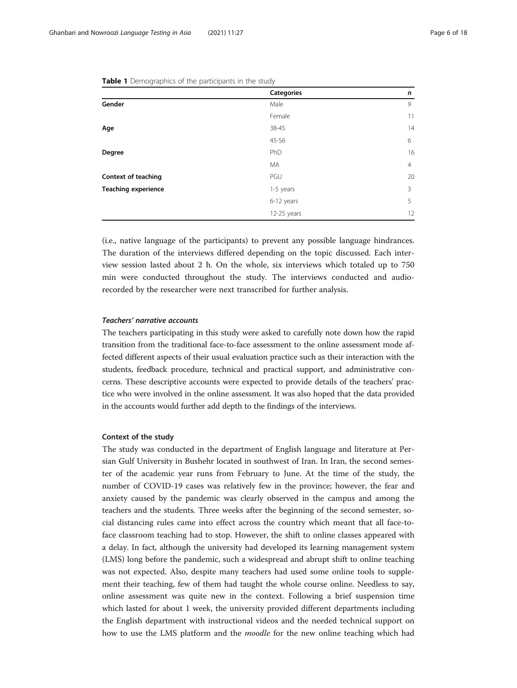|                            | <b>Categories</b> | n              |
|----------------------------|-------------------|----------------|
| Gender                     | Male              | 9              |
|                            | Female            | 11             |
| Age                        | 38-45             | 14             |
|                            | 45-56             | 6              |
| Degree                     | PhD               | 16             |
|                            | MA                | $\overline{4}$ |
| Context of teaching        | PGU               | 20             |
| <b>Teaching experience</b> | 1-5 years         | 3              |
|                            | 6-12 years        | 5              |
|                            | $12-25$ years     | 12             |

<span id="page-5-0"></span>Table 1 Demographics of the participants in the study

(i.e., native language of the participants) to prevent any possible language hindrances. The duration of the interviews differed depending on the topic discussed. Each interview session lasted about 2 h. On the whole, six interviews which totaled up to 750 min were conducted throughout the study. The interviews conducted and audiorecorded by the researcher were next transcribed for further analysis.

#### Teachers' narrative accounts

The teachers participating in this study were asked to carefully note down how the rapid transition from the traditional face-to-face assessment to the online assessment mode affected different aspects of their usual evaluation practice such as their interaction with the students, feedback procedure, technical and practical support, and administrative concerns. These descriptive accounts were expected to provide details of the teachers' practice who were involved in the online assessment. It was also hoped that the data provided in the accounts would further add depth to the findings of the interviews.

#### Context of the study

The study was conducted in the department of English language and literature at Persian Gulf University in Bushehr located in southwest of Iran. In Iran, the second semester of the academic year runs from February to June. At the time of the study, the number of COVID-19 cases was relatively few in the province; however, the fear and anxiety caused by the pandemic was clearly observed in the campus and among the teachers and the students. Three weeks after the beginning of the second semester, social distancing rules came into effect across the country which meant that all face-toface classroom teaching had to stop. However, the shift to online classes appeared with a delay. In fact, although the university had developed its learning management system (LMS) long before the pandemic, such a widespread and abrupt shift to online teaching was not expected. Also, despite many teachers had used some online tools to supplement their teaching, few of them had taught the whole course online. Needless to say, online assessment was quite new in the context. Following a brief suspension time which lasted for about 1 week, the university provided different departments including the English department with instructional videos and the needed technical support on how to use the LMS platform and the *moodle* for the new online teaching which had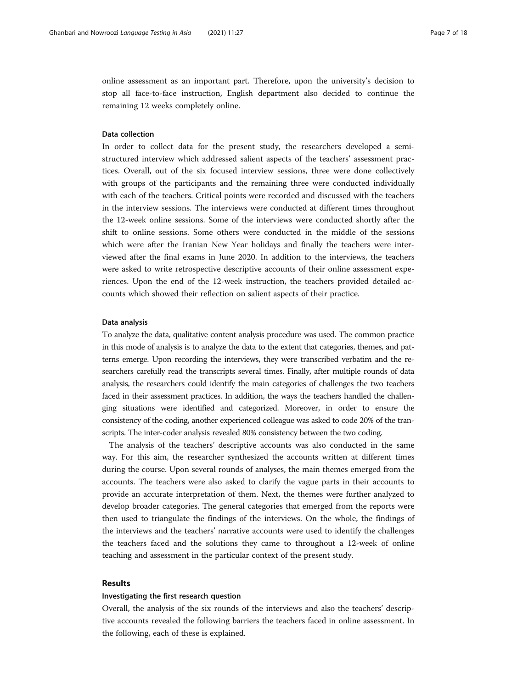online assessment as an important part. Therefore, upon the university's decision to stop all face-to-face instruction, English department also decided to continue the remaining 12 weeks completely online.

#### Data collection

In order to collect data for the present study, the researchers developed a semistructured interview which addressed salient aspects of the teachers' assessment practices. Overall, out of the six focused interview sessions, three were done collectively with groups of the participants and the remaining three were conducted individually with each of the teachers. Critical points were recorded and discussed with the teachers in the interview sessions. The interviews were conducted at different times throughout the 12-week online sessions. Some of the interviews were conducted shortly after the shift to online sessions. Some others were conducted in the middle of the sessions which were after the Iranian New Year holidays and finally the teachers were interviewed after the final exams in June 2020. In addition to the interviews, the teachers were asked to write retrospective descriptive accounts of their online assessment experiences. Upon the end of the 12-week instruction, the teachers provided detailed accounts which showed their reflection on salient aspects of their practice.

#### Data analysis

To analyze the data, qualitative content analysis procedure was used. The common practice in this mode of analysis is to analyze the data to the extent that categories, themes, and patterns emerge. Upon recording the interviews, they were transcribed verbatim and the researchers carefully read the transcripts several times. Finally, after multiple rounds of data analysis, the researchers could identify the main categories of challenges the two teachers faced in their assessment practices. In addition, the ways the teachers handled the challenging situations were identified and categorized. Moreover, in order to ensure the consistency of the coding, another experienced colleague was asked to code 20% of the transcripts. The inter-coder analysis revealed 80% consistency between the two coding.

The analysis of the teachers' descriptive accounts was also conducted in the same way. For this aim, the researcher synthesized the accounts written at different times during the course. Upon several rounds of analyses, the main themes emerged from the accounts. The teachers were also asked to clarify the vague parts in their accounts to provide an accurate interpretation of them. Next, the themes were further analyzed to develop broader categories. The general categories that emerged from the reports were then used to triangulate the findings of the interviews. On the whole, the findings of the interviews and the teachers' narrative accounts were used to identify the challenges the teachers faced and the solutions they came to throughout a 12-week of online teaching and assessment in the particular context of the present study.

#### Results

#### Investigating the first research question

Overall, the analysis of the six rounds of the interviews and also the teachers' descriptive accounts revealed the following barriers the teachers faced in online assessment. In the following, each of these is explained.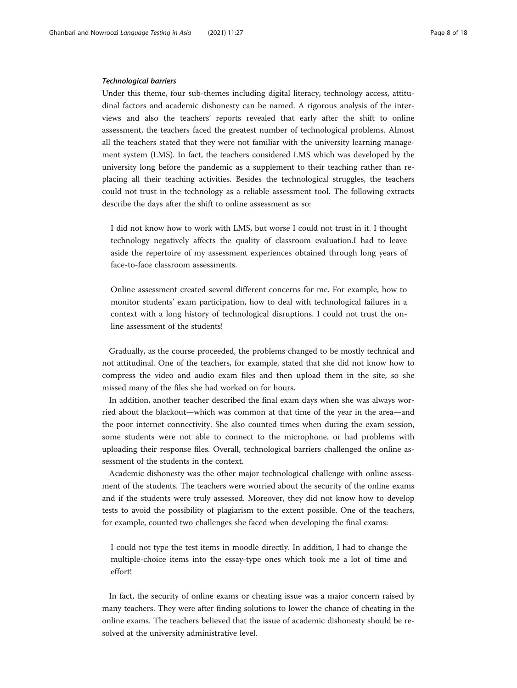#### Technological barriers

Under this theme, four sub-themes including digital literacy, technology access, attitudinal factors and academic dishonesty can be named. A rigorous analysis of the interviews and also the teachers' reports revealed that early after the shift to online assessment, the teachers faced the greatest number of technological problems. Almost all the teachers stated that they were not familiar with the university learning management system (LMS). In fact, the teachers considered LMS which was developed by the university long before the pandemic as a supplement to their teaching rather than replacing all their teaching activities. Besides the technological struggles, the teachers could not trust in the technology as a reliable assessment tool. The following extracts describe the days after the shift to online assessment as so:

I did not know how to work with LMS, but worse I could not trust in it. I thought technology negatively affects the quality of classroom evaluation.I had to leave aside the repertoire of my assessment experiences obtained through long years of face-to-face classroom assessments.

Online assessment created several different concerns for me. For example, how to monitor students' exam participation, how to deal with technological failures in a context with a long history of technological disruptions. I could not trust the online assessment of the students!

Gradually, as the course proceeded, the problems changed to be mostly technical and not attitudinal. One of the teachers, for example, stated that she did not know how to compress the video and audio exam files and then upload them in the site, so she missed many of the files she had worked on for hours.

In addition, another teacher described the final exam days when she was always worried about the blackout—which was common at that time of the year in the area—and the poor internet connectivity. She also counted times when during the exam session, some students were not able to connect to the microphone, or had problems with uploading their response files. Overall, technological barriers challenged the online assessment of the students in the context.

Academic dishonesty was the other major technological challenge with online assessment of the students. The teachers were worried about the security of the online exams and if the students were truly assessed. Moreover, they did not know how to develop tests to avoid the possibility of plagiarism to the extent possible. One of the teachers, for example, counted two challenges she faced when developing the final exams:

I could not type the test items in moodle directly. In addition, I had to change the multiple-choice items into the essay-type ones which took me a lot of time and effort!

In fact, the security of online exams or cheating issue was a major concern raised by many teachers. They were after finding solutions to lower the chance of cheating in the online exams. The teachers believed that the issue of academic dishonesty should be resolved at the university administrative level.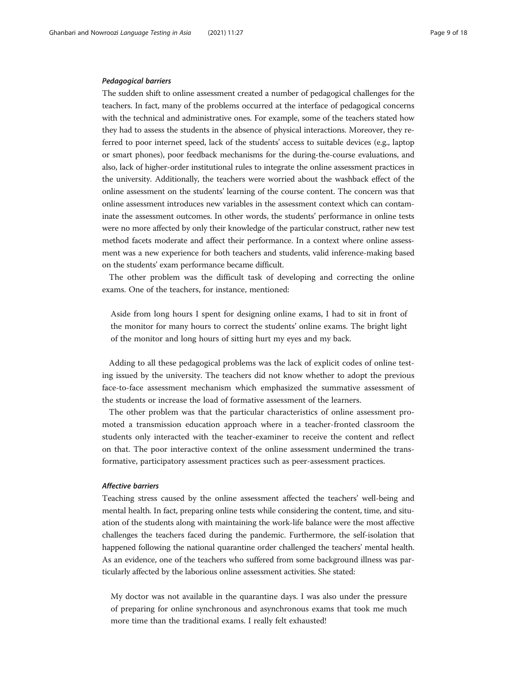#### Pedagogical barriers

The sudden shift to online assessment created a number of pedagogical challenges for the teachers. In fact, many of the problems occurred at the interface of pedagogical concerns with the technical and administrative ones. For example, some of the teachers stated how they had to assess the students in the absence of physical interactions. Moreover, they referred to poor internet speed, lack of the students' access to suitable devices (e.g., laptop or smart phones), poor feedback mechanisms for the during-the-course evaluations, and also, lack of higher-order institutional rules to integrate the online assessment practices in the university. Additionally, the teachers were worried about the washback effect of the online assessment on the students' learning of the course content. The concern was that online assessment introduces new variables in the assessment context which can contaminate the assessment outcomes. In other words, the students' performance in online tests were no more affected by only their knowledge of the particular construct, rather new test method facets moderate and affect their performance. In a context where online assessment was a new experience for both teachers and students, valid inference-making based on the students' exam performance became difficult.

The other problem was the difficult task of developing and correcting the online exams. One of the teachers, for instance, mentioned:

Aside from long hours I spent for designing online exams, I had to sit in front of the monitor for many hours to correct the students' online exams. The bright light of the monitor and long hours of sitting hurt my eyes and my back.

Adding to all these pedagogical problems was the lack of explicit codes of online testing issued by the university. The teachers did not know whether to adopt the previous face-to-face assessment mechanism which emphasized the summative assessment of the students or increase the load of formative assessment of the learners.

The other problem was that the particular characteristics of online assessment promoted a transmission education approach where in a teacher-fronted classroom the students only interacted with the teacher-examiner to receive the content and reflect on that. The poor interactive context of the online assessment undermined the transformative, participatory assessment practices such as peer-assessment practices.

#### Affective barriers

Teaching stress caused by the online assessment affected the teachers' well-being and mental health. In fact, preparing online tests while considering the content, time, and situation of the students along with maintaining the work-life balance were the most affective challenges the teachers faced during the pandemic. Furthermore, the self-isolation that happened following the national quarantine order challenged the teachers' mental health. As an evidence, one of the teachers who suffered from some background illness was particularly affected by the laborious online assessment activities. She stated:

My doctor was not available in the quarantine days. I was also under the pressure of preparing for online synchronous and asynchronous exams that took me much more time than the traditional exams. I really felt exhausted!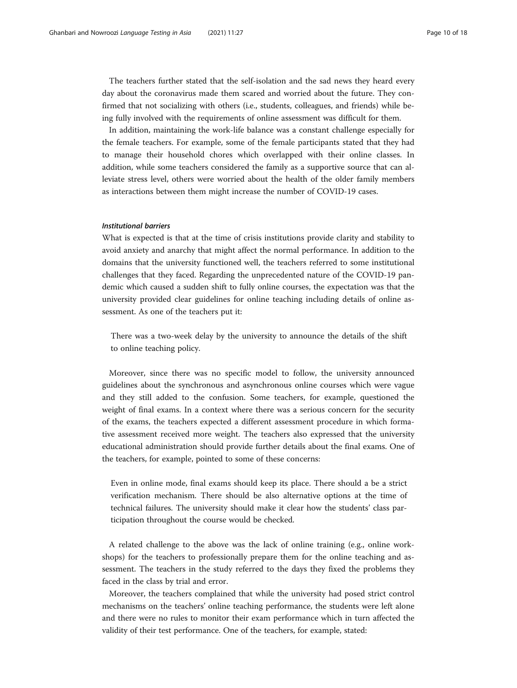The teachers further stated that the self-isolation and the sad news they heard every day about the coronavirus made them scared and worried about the future. They confirmed that not socializing with others (i.e., students, colleagues, and friends) while being fully involved with the requirements of online assessment was difficult for them.

In addition, maintaining the work-life balance was a constant challenge especially for the female teachers. For example, some of the female participants stated that they had to manage their household chores which overlapped with their online classes. In addition, while some teachers considered the family as a supportive source that can alleviate stress level, others were worried about the health of the older family members as interactions between them might increase the number of COVID-19 cases.

#### Institutional barriers

What is expected is that at the time of crisis institutions provide clarity and stability to avoid anxiety and anarchy that might affect the normal performance. In addition to the domains that the university functioned well, the teachers referred to some institutional challenges that they faced. Regarding the unprecedented nature of the COVID-19 pandemic which caused a sudden shift to fully online courses, the expectation was that the university provided clear guidelines for online teaching including details of online assessment. As one of the teachers put it:

There was a two-week delay by the university to announce the details of the shift to online teaching policy.

Moreover, since there was no specific model to follow, the university announced guidelines about the synchronous and asynchronous online courses which were vague and they still added to the confusion. Some teachers, for example, questioned the weight of final exams. In a context where there was a serious concern for the security of the exams, the teachers expected a different assessment procedure in which formative assessment received more weight. The teachers also expressed that the university educational administration should provide further details about the final exams. One of the teachers, for example, pointed to some of these concerns:

Even in online mode, final exams should keep its place. There should a be a strict verification mechanism. There should be also alternative options at the time of technical failures. The university should make it clear how the students' class participation throughout the course would be checked.

A related challenge to the above was the lack of online training (e.g., online workshops) for the teachers to professionally prepare them for the online teaching and assessment. The teachers in the study referred to the days they fixed the problems they faced in the class by trial and error.

Moreover, the teachers complained that while the university had posed strict control mechanisms on the teachers' online teaching performance, the students were left alone and there were no rules to monitor their exam performance which in turn affected the validity of their test performance. One of the teachers, for example, stated: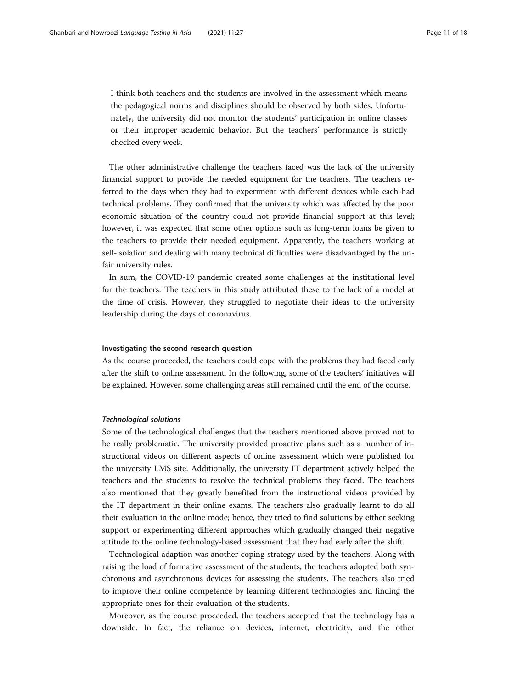I think both teachers and the students are involved in the assessment which means the pedagogical norms and disciplines should be observed by both sides. Unfortunately, the university did not monitor the students' participation in online classes or their improper academic behavior. But the teachers' performance is strictly checked every week.

The other administrative challenge the teachers faced was the lack of the university financial support to provide the needed equipment for the teachers. The teachers referred to the days when they had to experiment with different devices while each had technical problems. They confirmed that the university which was affected by the poor economic situation of the country could not provide financial support at this level; however, it was expected that some other options such as long-term loans be given to the teachers to provide their needed equipment. Apparently, the teachers working at self-isolation and dealing with many technical difficulties were disadvantaged by the unfair university rules.

In sum, the COVID-19 pandemic created some challenges at the institutional level for the teachers. The teachers in this study attributed these to the lack of a model at the time of crisis. However, they struggled to negotiate their ideas to the university leadership during the days of coronavirus.

#### Investigating the second research question

As the course proceeded, the teachers could cope with the problems they had faced early after the shift to online assessment. In the following, some of the teachers' initiatives will be explained. However, some challenging areas still remained until the end of the course.

#### Technological solutions

Some of the technological challenges that the teachers mentioned above proved not to be really problematic. The university provided proactive plans such as a number of instructional videos on different aspects of online assessment which were published for the university LMS site. Additionally, the university IT department actively helped the teachers and the students to resolve the technical problems they faced. The teachers also mentioned that they greatly benefited from the instructional videos provided by the IT department in their online exams. The teachers also gradually learnt to do all their evaluation in the online mode; hence, they tried to find solutions by either seeking support or experimenting different approaches which gradually changed their negative attitude to the online technology-based assessment that they had early after the shift.

Technological adaption was another coping strategy used by the teachers. Along with raising the load of formative assessment of the students, the teachers adopted both synchronous and asynchronous devices for assessing the students. The teachers also tried to improve their online competence by learning different technologies and finding the appropriate ones for their evaluation of the students.

Moreover, as the course proceeded, the teachers accepted that the technology has a downside. In fact, the reliance on devices, internet, electricity, and the other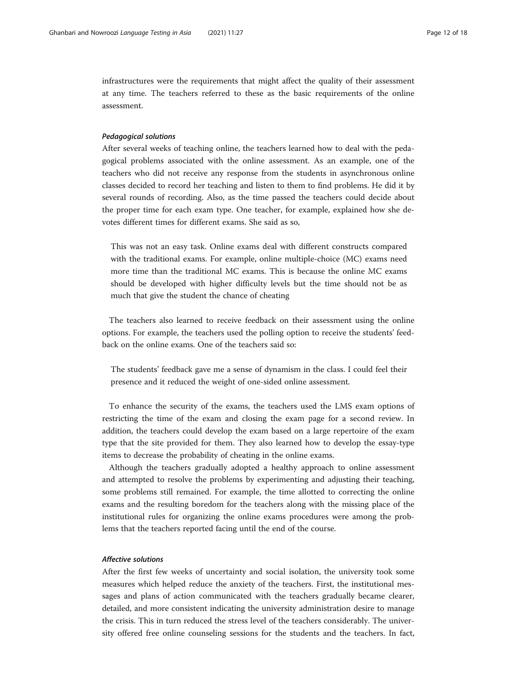infrastructures were the requirements that might affect the quality of their assessment at any time. The teachers referred to these as the basic requirements of the online assessment.

#### Pedagogical solutions

After several weeks of teaching online, the teachers learned how to deal with the pedagogical problems associated with the online assessment. As an example, one of the teachers who did not receive any response from the students in asynchronous online classes decided to record her teaching and listen to them to find problems. He did it by several rounds of recording. Also, as the time passed the teachers could decide about the proper time for each exam type. One teacher, for example, explained how she devotes different times for different exams. She said as so,

This was not an easy task. Online exams deal with different constructs compared with the traditional exams. For example, online multiple-choice (MC) exams need more time than the traditional MC exams. This is because the online MC exams should be developed with higher difficulty levels but the time should not be as much that give the student the chance of cheating

The teachers also learned to receive feedback on their assessment using the online options. For example, the teachers used the polling option to receive the students' feedback on the online exams. One of the teachers said so:

The students' feedback gave me a sense of dynamism in the class. I could feel their presence and it reduced the weight of one-sided online assessment.

To enhance the security of the exams, the teachers used the LMS exam options of restricting the time of the exam and closing the exam page for a second review. In addition, the teachers could develop the exam based on a large repertoire of the exam type that the site provided for them. They also learned how to develop the essay-type items to decrease the probability of cheating in the online exams.

Although the teachers gradually adopted a healthy approach to online assessment and attempted to resolve the problems by experimenting and adjusting their teaching, some problems still remained. For example, the time allotted to correcting the online exams and the resulting boredom for the teachers along with the missing place of the institutional rules for organizing the online exams procedures were among the problems that the teachers reported facing until the end of the course.

#### Affective solutions

After the first few weeks of uncertainty and social isolation, the university took some measures which helped reduce the anxiety of the teachers. First, the institutional messages and plans of action communicated with the teachers gradually became clearer, detailed, and more consistent indicating the university administration desire to manage the crisis. This in turn reduced the stress level of the teachers considerably. The university offered free online counseling sessions for the students and the teachers. In fact,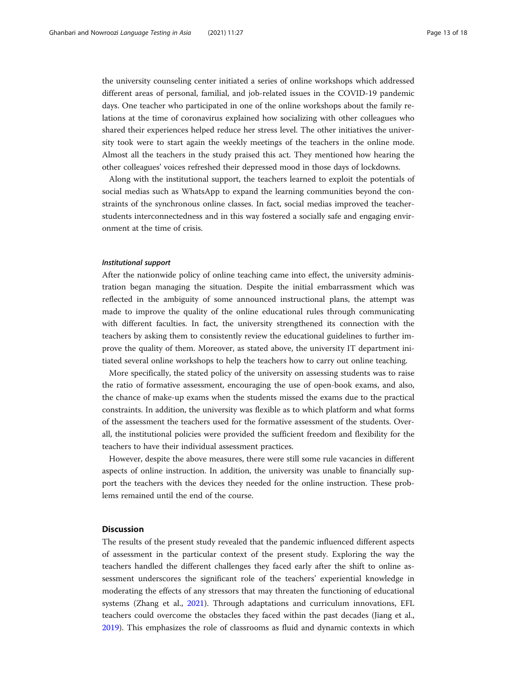the university counseling center initiated a series of online workshops which addressed different areas of personal, familial, and job-related issues in the COVID-19 pandemic days. One teacher who participated in one of the online workshops about the family relations at the time of coronavirus explained how socializing with other colleagues who shared their experiences helped reduce her stress level. The other initiatives the university took were to start again the weekly meetings of the teachers in the online mode. Almost all the teachers in the study praised this act. They mentioned how hearing the other colleagues' voices refreshed their depressed mood in those days of lockdowns.

Along with the institutional support, the teachers learned to exploit the potentials of social medias such as WhatsApp to expand the learning communities beyond the constraints of the synchronous online classes. In fact, social medias improved the teacherstudents interconnectedness and in this way fostered a socially safe and engaging environment at the time of crisis.

#### Institutional support

After the nationwide policy of online teaching came into effect, the university administration began managing the situation. Despite the initial embarrassment which was reflected in the ambiguity of some announced instructional plans, the attempt was made to improve the quality of the online educational rules through communicating with different faculties. In fact, the university strengthened its connection with the teachers by asking them to consistently review the educational guidelines to further improve the quality of them. Moreover, as stated above, the university IT department initiated several online workshops to help the teachers how to carry out online teaching.

More specifically, the stated policy of the university on assessing students was to raise the ratio of formative assessment, encouraging the use of open-book exams, and also, the chance of make-up exams when the students missed the exams due to the practical constraints. In addition, the university was flexible as to which platform and what forms of the assessment the teachers used for the formative assessment of the students. Overall, the institutional policies were provided the sufficient freedom and flexibility for the teachers to have their individual assessment practices.

However, despite the above measures, there were still some rule vacancies in different aspects of online instruction. In addition, the university was unable to financially support the teachers with the devices they needed for the online instruction. These problems remained until the end of the course.

### **Discussion**

The results of the present study revealed that the pandemic influenced different aspects of assessment in the particular context of the present study. Exploring the way the teachers handled the different challenges they faced early after the shift to online assessment underscores the significant role of the teachers' experiential knowledge in moderating the effects of any stressors that may threaten the functioning of educational systems (Zhang et al., [2021](#page-17-0)). Through adaptations and curriculum innovations, EFL teachers could overcome the obstacles they faced within the past decades (Jiang et al., [2019](#page-16-0)). This emphasizes the role of classrooms as fluid and dynamic contexts in which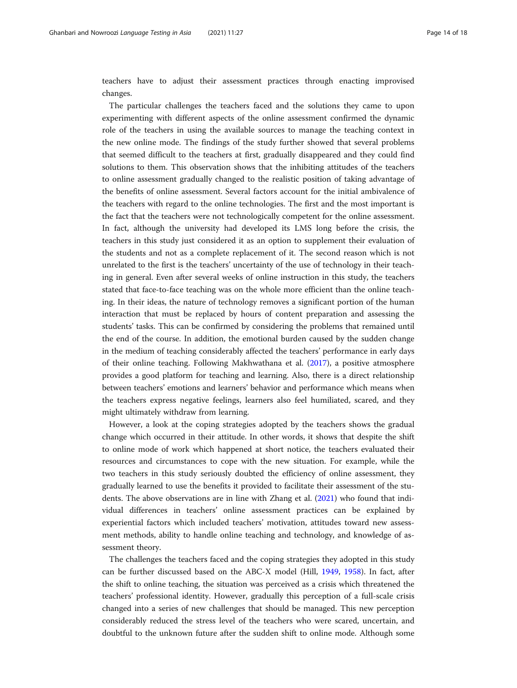teachers have to adjust their assessment practices through enacting improvised changes.

The particular challenges the teachers faced and the solutions they came to upon experimenting with different aspects of the online assessment confirmed the dynamic role of the teachers in using the available sources to manage the teaching context in the new online mode. The findings of the study further showed that several problems that seemed difficult to the teachers at first, gradually disappeared and they could find solutions to them. This observation shows that the inhibiting attitudes of the teachers to online assessment gradually changed to the realistic position of taking advantage of the benefits of online assessment. Several factors account for the initial ambivalence of the teachers with regard to the online technologies. The first and the most important is the fact that the teachers were not technologically competent for the online assessment. In fact, although the university had developed its LMS long before the crisis, the teachers in this study just considered it as an option to supplement their evaluation of the students and not as a complete replacement of it. The second reason which is not unrelated to the first is the teachers' uncertainty of the use of technology in their teaching in general. Even after several weeks of online instruction in this study, the teachers stated that face-to-face teaching was on the whole more efficient than the online teaching. In their ideas, the nature of technology removes a significant portion of the human interaction that must be replaced by hours of content preparation and assessing the students' tasks. This can be confirmed by considering the problems that remained until the end of the course. In addition, the emotional burden caused by the sudden change in the medium of teaching considerably affected the teachers' performance in early days of their online teaching. Following Makhwathana et al. [\(2017\)](#page-17-0), a positive atmosphere provides a good platform for teaching and learning. Also, there is a direct relationship between teachers' emotions and learners' behavior and performance which means when the teachers express negative feelings, learners also feel humiliated, scared, and they might ultimately withdraw from learning.

However, a look at the coping strategies adopted by the teachers shows the gradual change which occurred in their attitude. In other words, it shows that despite the shift to online mode of work which happened at short notice, the teachers evaluated their resources and circumstances to cope with the new situation. For example, while the two teachers in this study seriously doubted the efficiency of online assessment, they gradually learned to use the benefits it provided to facilitate their assessment of the students. The above observations are in line with Zhang et al. ([2021](#page-17-0)) who found that individual differences in teachers' online assessment practices can be explained by experiential factors which included teachers' motivation, attitudes toward new assessment methods, ability to handle online teaching and technology, and knowledge of assessment theory.

The challenges the teachers faced and the coping strategies they adopted in this study can be further discussed based on the ABC-X model (Hill, [1949](#page-16-0), [1958](#page-16-0)). In fact, after the shift to online teaching, the situation was perceived as a crisis which threatened the teachers' professional identity. However, gradually this perception of a full-scale crisis changed into a series of new challenges that should be managed. This new perception considerably reduced the stress level of the teachers who were scared, uncertain, and doubtful to the unknown future after the sudden shift to online mode. Although some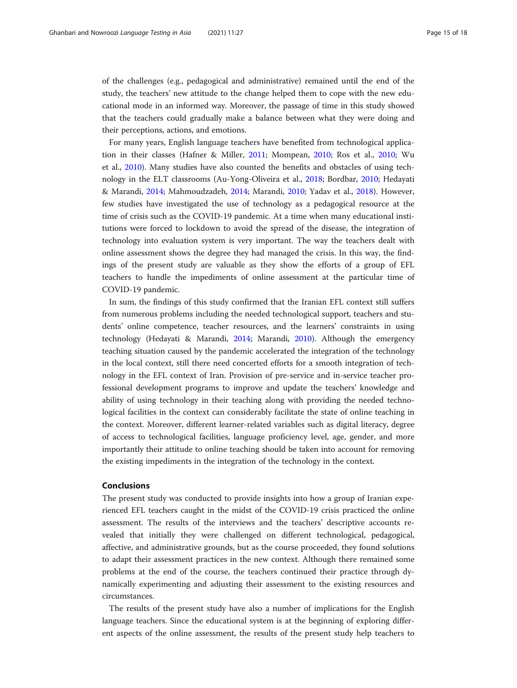of the challenges (e.g., pedagogical and administrative) remained until the end of the study, the teachers' new attitude to the change helped them to cope with the new educational mode in an informed way. Moreover, the passage of time in this study showed that the teachers could gradually make a balance between what they were doing and their perceptions, actions, and emotions.

For many years, English language teachers have benefited from technological application in their classes (Hafner & Miller, [2011](#page-16-0); Mompean, [2010](#page-17-0); Ros et al., [2010;](#page-17-0) Wu et al., [2010](#page-17-0)). Many studies have also counted the benefits and obstacles of using technology in the ELT classrooms (Au-Yong-Oliveira et al., [2018;](#page-16-0) Bordbar, [2010;](#page-16-0) Hedayati & Marandi, [2014](#page-16-0); Mahmoudzadeh, [2014](#page-17-0); Marandi, [2010](#page-17-0); Yadav et al., [2018](#page-17-0)). However, few studies have investigated the use of technology as a pedagogical resource at the time of crisis such as the COVID-19 pandemic. At a time when many educational institutions were forced to lockdown to avoid the spread of the disease, the integration of technology into evaluation system is very important. The way the teachers dealt with online assessment shows the degree they had managed the crisis. In this way, the findings of the present study are valuable as they show the efforts of a group of EFL teachers to handle the impediments of online assessment at the particular time of COVID-19 pandemic.

In sum, the findings of this study confirmed that the Iranian EFL context still suffers from numerous problems including the needed technological support, teachers and students' online competence, teacher resources, and the learners' constraints in using technology (Hedayati & Marandi, [2014;](#page-16-0) Marandi, [2010](#page-17-0)). Although the emergency teaching situation caused by the pandemic accelerated the integration of the technology in the local context, still there need concerted efforts for a smooth integration of technology in the EFL context of Iran. Provision of pre-service and in-service teacher professional development programs to improve and update the teachers' knowledge and ability of using technology in their teaching along with providing the needed technological facilities in the context can considerably facilitate the state of online teaching in the context. Moreover, different learner-related variables such as digital literacy, degree of access to technological facilities, language proficiency level, age, gender, and more importantly their attitude to online teaching should be taken into account for removing the existing impediments in the integration of the technology in the context.

#### Conclusions

The present study was conducted to provide insights into how a group of Iranian experienced EFL teachers caught in the midst of the COVID-19 crisis practiced the online assessment. The results of the interviews and the teachers' descriptive accounts revealed that initially they were challenged on different technological, pedagogical, affective, and administrative grounds, but as the course proceeded, they found solutions to adapt their assessment practices in the new context. Although there remained some problems at the end of the course, the teachers continued their practice through dynamically experimenting and adjusting their assessment to the existing resources and circumstances.

The results of the present study have also a number of implications for the English language teachers. Since the educational system is at the beginning of exploring different aspects of the online assessment, the results of the present study help teachers to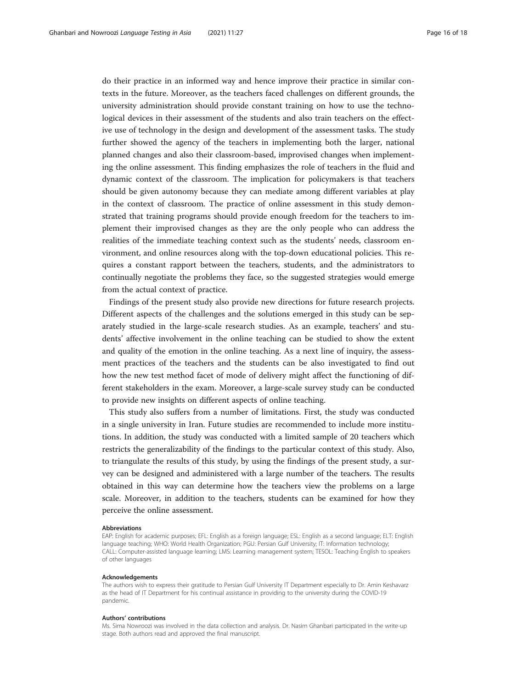do their practice in an informed way and hence improve their practice in similar contexts in the future. Moreover, as the teachers faced challenges on different grounds, the university administration should provide constant training on how to use the technological devices in their assessment of the students and also train teachers on the effective use of technology in the design and development of the assessment tasks. The study further showed the agency of the teachers in implementing both the larger, national planned changes and also their classroom-based, improvised changes when implementing the online assessment. This finding emphasizes the role of teachers in the fluid and dynamic context of the classroom. The implication for policymakers is that teachers should be given autonomy because they can mediate among different variables at play in the context of classroom. The practice of online assessment in this study demonstrated that training programs should provide enough freedom for the teachers to implement their improvised changes as they are the only people who can address the realities of the immediate teaching context such as the students' needs, classroom environment, and online resources along with the top-down educational policies. This requires a constant rapport between the teachers, students, and the administrators to continually negotiate the problems they face, so the suggested strategies would emerge from the actual context of practice.

Findings of the present study also provide new directions for future research projects. Different aspects of the challenges and the solutions emerged in this study can be separately studied in the large-scale research studies. As an example, teachers' and students' affective involvement in the online teaching can be studied to show the extent and quality of the emotion in the online teaching. As a next line of inquiry, the assessment practices of the teachers and the students can be also investigated to find out how the new test method facet of mode of delivery might affect the functioning of different stakeholders in the exam. Moreover, a large-scale survey study can be conducted to provide new insights on different aspects of online teaching.

This study also suffers from a number of limitations. First, the study was conducted in a single university in Iran. Future studies are recommended to include more institutions. In addition, the study was conducted with a limited sample of 20 teachers which restricts the generalizability of the findings to the particular context of this study. Also, to triangulate the results of this study, by using the findings of the present study, a survey can be designed and administered with a large number of the teachers. The results obtained in this way can determine how the teachers view the problems on a large scale. Moreover, in addition to the teachers, students can be examined for how they perceive the online assessment.

#### Abbreviations

EAP: English for academic purposes; EFL: English as a foreign language; ESL: English as a second language; ELT: English language teaching; WHO: World Health Organization; PGU: Persian Gulf University; IT: Information technology; CALL: Computer-assisted language learning; LMS: Learning management system; TESOL: Teaching English to speakers of other languages

#### Acknowledgements

The authors wish to express their gratitude to Persian Gulf University IT Department especially to Dr. Amin Keshavarz as the head of IT Department for his continual assistance in providing to the university during the COVID-19 pandemic.

#### Authors' contributions

Ms. Sima Nowroozi was involved in the data collection and analysis. Dr. Nasim Ghanbari participated in the write-up stage. Both authors read and approved the final manuscript.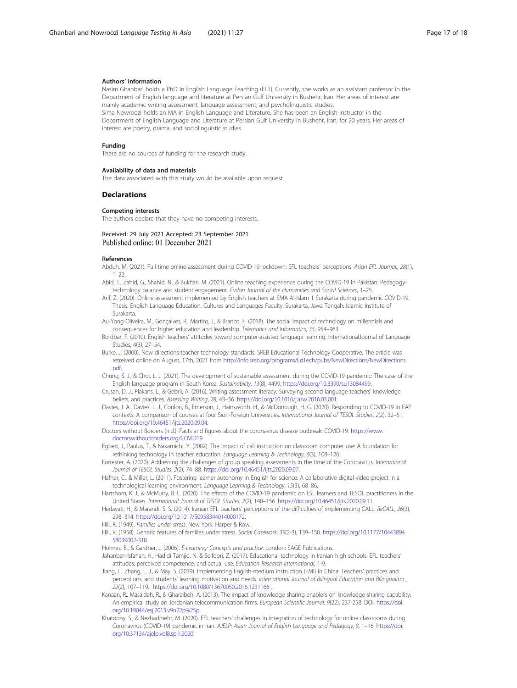#### <span id="page-16-0"></span>Authors' information

Nasim Ghanbari holds a PhD in English Language Teaching (ELT). Currently, she works as an assistant professor in the Department of English language and literature at Persian Gulf University in Bushehr, Iran. Her areas of interest are mainly academic writing assessment, language assessment, and psycholinguistic studies. Sima Nowroozi holds an MA in English Language and Literature. She has been an English instructor in the

Department of English Language and Literature at Persian Gulf University in Bushehr, Iran, for 20 years. Her areas of interest are poetry, drama, and sociolinguistic studies.

#### Funding

There are no sources of funding for the research study.

#### Availability of data and materials

The data associated with this study would be available upon request.

#### Declarations

#### Competing interests

The authors declare that they have no competing interests.

#### Received: 29 July 2021 Accepted: 23 September 2021 Published online: 01 December 2021

#### References

- Abduh, M. (2021). Full-time online assessment during COVID-19 lockdown: EFL teachers' perceptions. Asian EFL Journal., 28(1),  $1 - 22$
- Abid, T., Zahid, G., Shahid, N., & Bukhari, M. (2021). Online teaching experience during the COVID-19 in Pakistan: Pedagogytechnology balance and student engagement. Fudan Journal of the Humanities and Social Sciences, 1-25.
- Arif, Z. (2020). Online assessment implemented by English teachers at SMA Al-Islam 1 Surakarta during pandemic COVID-19. Thesis. English Language Education. Cultures and Languages Faculty. Surakarta, Jawa Tengah: Islamic Institute of Surakarta.
- Au-Yong-Oliveira, M., Gonçalves, R., Martins, J., & Branco, F. (2018). The social impact of technology on millennials and consequences for higher education and leadership. Telematics and Informatics, 35, 954–963.
- Bordbar, F. (2010). English teachers' attitudes toward computer-assisted language learning. InternationalJournal of Language Studies, 4(3), 27–54.
- Burke, J. (2000). New directions-teacher technology standards. SREB Educational Technology Cooperative. The article was retreived online on August, 17th, 2021 from [http://info.sreb.org/programs/EdTech/pubs/NewDirections/NewDirections.](http://info.sreb.org/programs/EdTech/pubs/NewDirections/NewDirections.pdf) [pdf](http://info.sreb.org/programs/EdTech/pubs/NewDirections/NewDirections.pdf).
- Chung, S. J., & Choi, L. J. (2021). The development of sustainable assessment during the COVID-19 pandemic: The case of the English language program in South Korea. Sustainability, 13(8), 4499. <https://doi.org/10.3390/su13084499>.
- Crusan, D. J., Plakans, L., & Gebril, A. (2016). Writing assessment literacy: Surveying second language teachers' knowledge, beliefs, and practices. Assessing Writing, 28, 43–56. <https://doi.org/10.1016/j.asw.2016.03.001>.
- Davies, J. A., Davies, L. J., Conlon, B., Emerson, J., Hainsworth, H., & McDonough, H. G. (2020). Responding to COVID-19 in EAP contexts: A comparison of courses at four Sion-Foreign Universities. International Journal of TESOL Studies, 2(2), 32–51. [https://doi.org/10.46451/ijts.2020.09.04.](https://doi.org/10.46451/ijts.2020.09.04)
- Doctors without Borders (n.d.). Facts and figures about the coronavirus disease outbreak: COVID-19. [https://www.](https://www.doctorswithoutborders.org/COVID19) [doctorswithoutborders.org/COVID19](https://www.doctorswithoutborders.org/COVID19)
- Egbert, J., Paulus, T., & Nakamichi, Y. (2002). The impact of call instruction on classroom computer use: A foundation for rethinking technology in teacher education. Language Learning & Technology, 6(3), 108–126.
- Forrester, A. (2020). Addressing the challenges of group speaking assessments in the time of the Coronavirus. International Journal of TESOL Studies, 2(2), 74–88. <https://doi.org/10.46451/ijts.2020.09.07>.
- Hafner, C., & Miller, L. (2011). Fostering learner autonomy in English for science: A collaborative digital video project in a technological learning environment. Language Learning & Technology, 15(3), 68–86.
- Hartshorn, K. J., & McMurry, B. L. (2020). The effects of the COVID-19 pandemic on ESL learners and TESOL practitioners in the United States. International Journal of TESOL Studies, 2(2), 140–156. <https://doi.org/10.46451/ijts.2020.09.11>.
- Hedayati, H., & Marandi, S. S. (2014). Iranian EFL teachers' perceptions of the difficulties of implementing CALL. ReCALL, 26(3), 298–314. <https://doi.org/10.1017/S0958344014000172>.
- Hill, R. (1949). Families under stress. New York: Harper & Row.
- Hill, R. (1958). Generic features of families under stress. Social Casework, 39(2-3), 139–150. [https://doi.org/10.1177/10443894](https://doi.org/10.1177/1044389458039002-318) [58039002-318](https://doi.org/10.1177/1044389458039002-318).

Holmes, B., & Gardner, J. (2006). E-Learning: Concepts and practice. London: SAGE Publications.

- Jahanban-Isfahan, H., Hadidi Tamjid, N. & Seifoori, Z. (2017). Educational technology in Iranian high schools: EFL teachers' attitudes, perceived competence, and actual use. Education Research International, 1-9.
- Jiang, L., Zhang, L. J., & May, S. (2019). Implementing English-medium instruction (EMI) in China: Teachers' practices and perceptions, and students' learning motivation and needs. International Journal of Bilingual Education and Bilingualism., 22(2), 107–119. <https://doi.org/10.1080/13670050.2016.1231166> .
- Kanaan, R., Masa'deh, R., & Gharaibeh, A. (2013). The impact of knowledge sharing enablers on knowledge sharing capability: An empirical study on Jordanian telecommunication firms. European Scientific Journal, 9(22), 237-258. DOI. [https://doi.](https://doi.org/10.19044/esj.2013.v9n22p%25p) [org/10.19044/esj.2013.v9n22p%25p.](https://doi.org/10.19044/esj.2013.v9n22p%25p)
- Khatoony, S., & Nezhadmehr, M. (2020). EFL teachers' challenges in integration of technology for online classrooms during Coronavirus (COVID-19) pandemic in Iran. AJELP: Asian Journal of English Language and Pedagogy, 8, 1–16. [https://doi.](https://doi.org/10.37134/ajelp.vol8.sp.1.2020) [org/10.37134/ajelp.vol8.sp.1.2020.](https://doi.org/10.37134/ajelp.vol8.sp.1.2020)